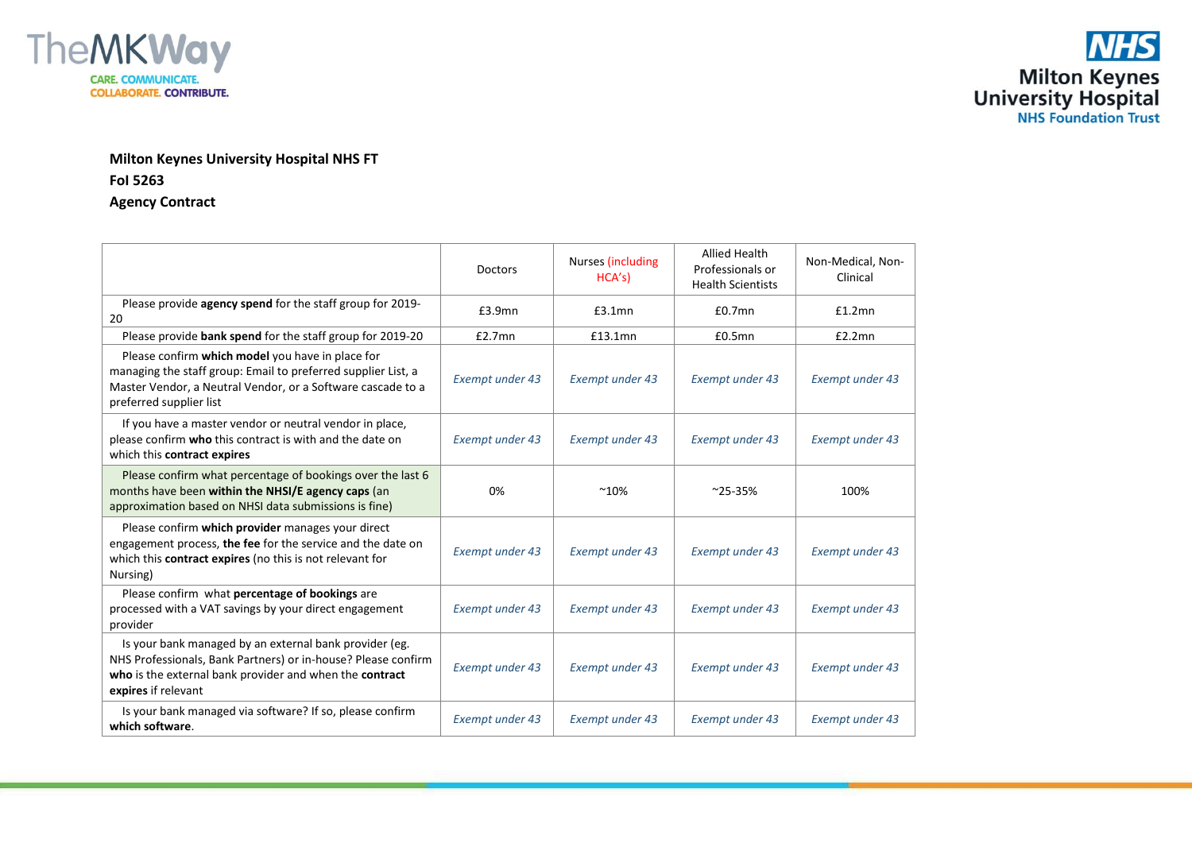

## **Milton Keynes University Hospital NHS FT FoI 5263 Agency Contract**

|                                                                                                                                                                                                             | <b>Doctors</b>         | Nurses (including<br>HCA's | <b>Allied Health</b><br>Professionals or<br><b>Health Scientists</b> | Non-Medical, Non-<br>Clinical |
|-------------------------------------------------------------------------------------------------------------------------------------------------------------------------------------------------------------|------------------------|----------------------------|----------------------------------------------------------------------|-------------------------------|
| Please provide agency spend for the staff group for 2019-<br>20                                                                                                                                             | £3.9mn                 | $£3.1$ mn                  | $£0.7$ mn                                                            | £1.2mn                        |
| Please provide bank spend for the staff group for 2019-20                                                                                                                                                   | £2.7mn                 | £13.1mn                    | $£0.5$ mn                                                            | £2.2mn                        |
| Please confirm which model you have in place for<br>managing the staff group: Email to preferred supplier List, a<br>Master Vendor, a Neutral Vendor, or a Software cascade to a<br>preferred supplier list | <b>Exempt under 43</b> | Exempt under 43            | Exempt under 43                                                      | Exempt under 43               |
| If you have a master vendor or neutral vendor in place,<br>please confirm who this contract is with and the date on<br>which this contract expires                                                          | Exempt under 43        | <b>Exempt under 43</b>     | <b>Exempt under 43</b>                                               | <b>Exempt under 43</b>        |
| Please confirm what percentage of bookings over the last 6<br>months have been within the NHSI/E agency caps (an<br>approximation based on NHSI data submissions is fine)                                   | 0%                     | $~10\%$                    | $^{\sim}$ 25-35%                                                     | 100%                          |
| Please confirm which provider manages your direct<br>engagement process, the fee for the service and the date on<br>which this <b>contract expires</b> (no this is not relevant for<br>Nursing)             | Exempt under 43        | Exempt under 43            | Exempt under 43                                                      | Exempt under 43               |
| Please confirm what percentage of bookings are<br>processed with a VAT savings by your direct engagement<br>provider                                                                                        | Exempt under 43        | Exempt under 43            | Exempt under 43                                                      | <b>Exempt under 43</b>        |
| Is your bank managed by an external bank provider (eg.<br>NHS Professionals, Bank Partners) or in-house? Please confirm<br>who is the external bank provider and when the contract<br>expires if relevant   | Exempt under 43        | Exempt under 43            | Exempt under 43                                                      | <b>Exempt under 43</b>        |
| Is your bank managed via software? If so, please confirm<br>which software.                                                                                                                                 | Exempt under 43        | Exempt under 43            | <b>Exempt under 43</b>                                               | <b>Exempt under 43</b>        |